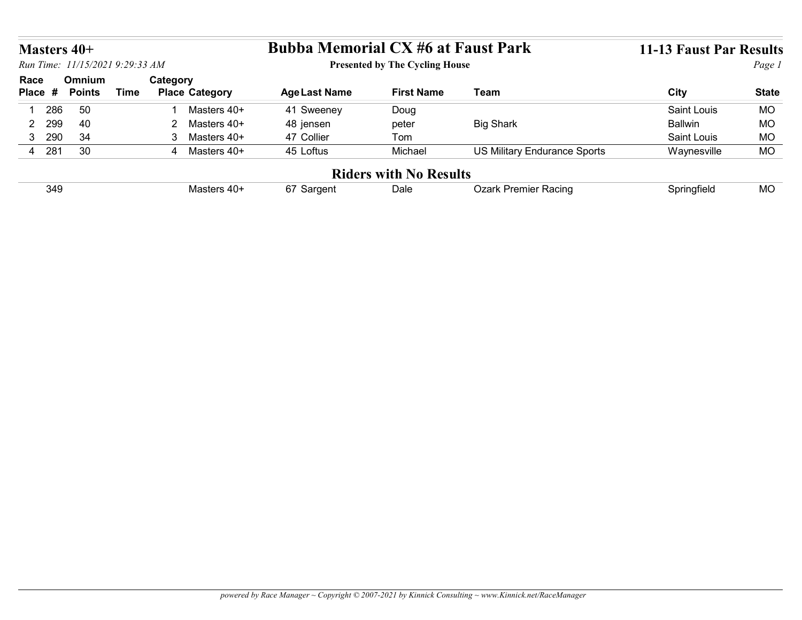|                    |                                 |             |                               | <b>Bubba Memorial CX #6 at Faust Park</b> |                                       |                              | <b>11-13 Faust Par Results</b> |              |
|--------------------|---------------------------------|-------------|-------------------------------|-------------------------------------------|---------------------------------------|------------------------------|--------------------------------|--------------|
| <b>Masters 40+</b> | Run Time: 11/15/2021 9:29:33 AM |             |                               |                                           | <b>Presented by The Cycling House</b> |                              |                                | Page 1       |
|                    | Omnium                          |             | Category                      |                                           |                                       |                              |                                |              |
|                    | <b>Points</b>                   | <b>Time</b> | <b>Place Category</b>         | <b>Age Last Name</b>                      | <b>First Name</b>                     | <b>Team</b>                  | <b>City</b>                    | <b>State</b> |
| 286<br>-1          | 50                              |             | Masters 40+<br>-1             | 41 Sweeney                                | Doug                                  |                              | Saint Louis                    | <b>MO</b>    |
| 2 299              | 40                              |             | Masters 40+<br>$\overline{2}$ | 48 jensen                                 | peter                                 | <b>Big Shark</b>             | <b>Ballwin</b>                 | <b>MO</b>    |
| 3 290              | 34                              |             | 3 Masters 40+                 | 47 Collier                                | Tom                                   |                              | Saint Louis                    | MO           |
| 4 281              | 30                              |             | 4 Masters 40+                 | 45 Loftus                                 | Michael                               | US Military Endurance Sports | Waynesville                    | <b>MO</b>    |
| Race<br>Place #    |                                 |             |                               |                                           | <b>Riders with No Results</b>         |                              |                                |              |
| 349                |                                 |             | Masters 40+                   | 67 Sargent                                | Dale                                  | Ozark Premier Racing         | Springfield                    | <b>MO</b>    |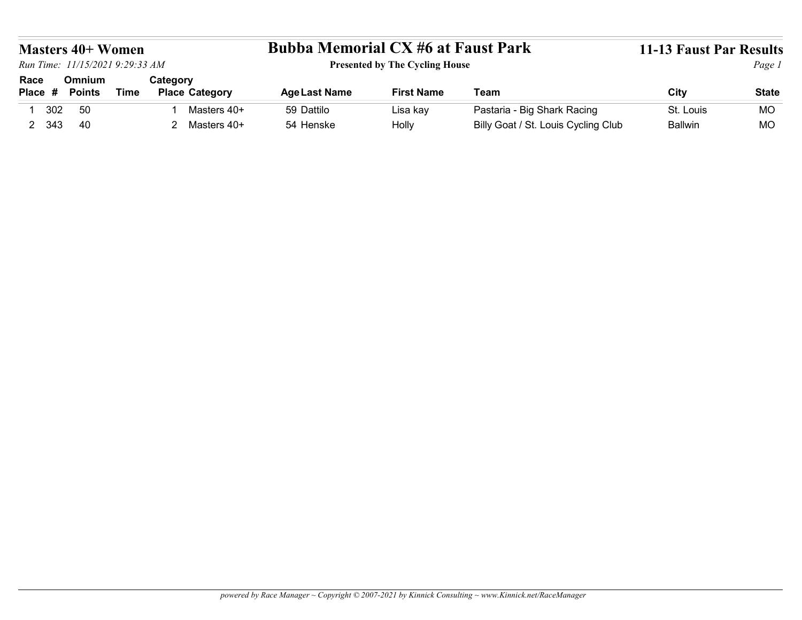|                        | <b>Masters 40+ Women</b><br>Run Time: 11/15/2021 9:29:33 AM |             |          |                       | <b>Bubba Memorial CX #6 at Faust Park</b> | <b>Presented by The Cycling House</b> |                             | 11-13 Faust Par Results | Page 1       |
|------------------------|-------------------------------------------------------------|-------------|----------|-----------------------|-------------------------------------------|---------------------------------------|-----------------------------|-------------------------|--------------|
| Race<br>Place # Points | Omnium                                                      | <b>Time</b> | Category | <b>Place Category</b> | <b>Age Last Name</b>                      | <b>First Name</b>                     | Team                        | <b>City</b>             | <b>State</b> |
| 302<br>$\mathbf{1}$    | 50                                                          |             |          | Masters 40+           | 59 Dattilo                                | Lisa kay                              | Pastaria - Big Shark Racing | St. Louis               | <b>MO</b>    |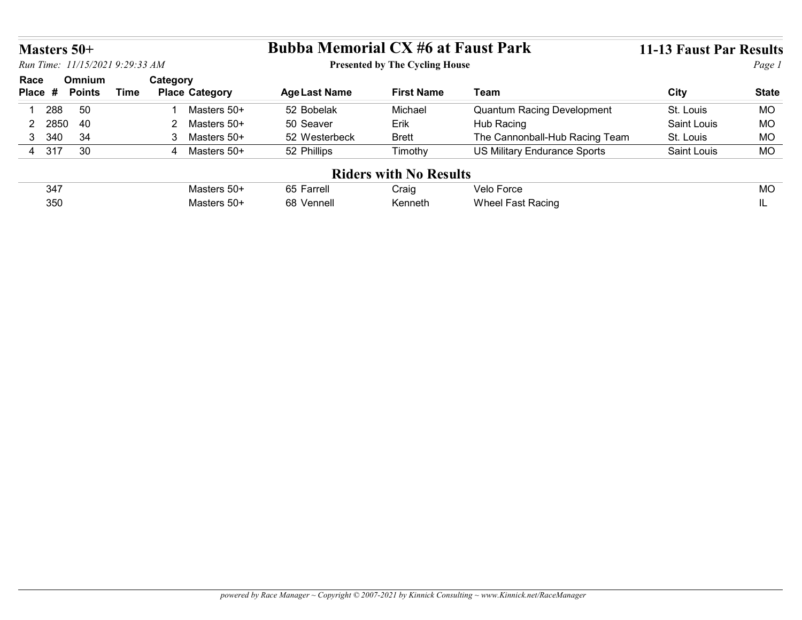|                 | Masters 50+                     |                                                  | <b>Bubba Memorial CX #6 at Faust Park</b> |                                        |                                                 | <b>11-13 Faust Par Results</b> |                 |  |  |
|-----------------|---------------------------------|--------------------------------------------------|-------------------------------------------|----------------------------------------|-------------------------------------------------|--------------------------------|-----------------|--|--|
|                 | Run Time: 11/15/2021 9:29:33 AM |                                                  |                                           | <b>Presented by The Cycling House</b>  |                                                 |                                | Page 1          |  |  |
|                 |                                 |                                                  |                                           |                                        |                                                 |                                |                 |  |  |
| Race<br>Place # | Omnium<br><b>Points</b>         | Category<br><b>Time</b><br><b>Place Category</b> | <b>Age Last Name</b>                      | <b>First Name</b>                      | <b>Team</b>                                     | City                           | <b>State</b>    |  |  |
|                 |                                 | Masters 50+<br>$\mathbf{1}$                      |                                           | Michael                                |                                                 |                                |                 |  |  |
| 1 288<br>2 2850 | 50<br>40                        | 2 Masters 50+                                    | 52 Bobelak<br>50 Seaver                   | Erik                                   | <b>Quantum Racing Development</b><br>Hub Racing | St. Louis<br>Saint Louis       | <b>MO</b><br>MO |  |  |
| 3 340           | 34                              | 3 Masters 50+                                    | 52 Westerbeck                             | <b>Brett</b>                           | The Cannonball-Hub Racing Team                  | St. Louis                      | <b>MO</b>       |  |  |
| 4 317           | 30                              | 4 Masters 50+                                    | 52 Phillips                               | Timothy                                | <b>US Military Endurance Sports</b>             | Saint Louis                    | <b>MO</b>       |  |  |
|                 |                                 |                                                  |                                           |                                        |                                                 |                                |                 |  |  |
|                 | 347                             | Masters 50+                                      | 65 Farrell                                | <b>Riders with No Results</b><br>Craig | Velo Force                                      |                                | <b>MO</b>       |  |  |

| 347 | ხე<br>սւշո    | Craiα   | $\sim$ $\sim$<br>vek<br>uuc          | <b>MC</b> |
|-----|---------------|---------|--------------------------------------|-----------|
| 350 | Vennell<br>nč | Kenneth | Racino<br>-net-<br>$\mathbf{N}$<br>. |           |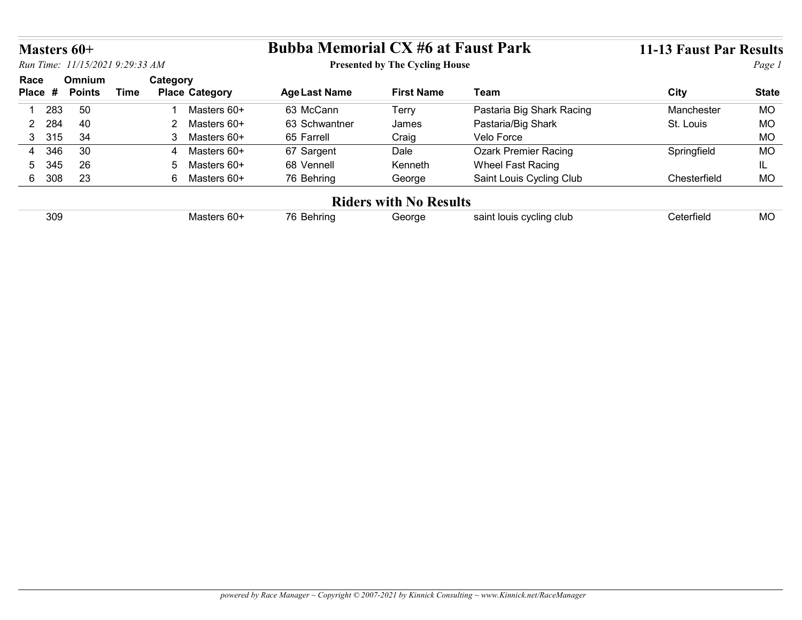|                       | Masters 60+                    |                                                  | <b>Bubba Memorial CX #6 at Faust Park</b> |                                       |                                           | <b>11-13 Faust Par Results</b> |                        |  |
|-----------------------|--------------------------------|--------------------------------------------------|-------------------------------------------|---------------------------------------|-------------------------------------------|--------------------------------|------------------------|--|
|                       |                                | Run Time: 11/15/2021 9:29:33 AM                  |                                           | <b>Presented by The Cycling House</b> |                                           | Page 1                         |                        |  |
| Race<br>Place #       | <b>Omnium</b><br><b>Points</b> | Category<br><b>Time</b><br><b>Place Category</b> | <b>Age Last Name</b>                      | <b>First Name</b>                     | Team                                      | City                           | <b>State</b>           |  |
|                       |                                | Masters 60+<br>$\blacktriangleleft$              | 63 McCann                                 | Terry                                 | Pastaria Big Shark Racing                 | Manchester                     | <b>MO</b>              |  |
|                       |                                |                                                  |                                           |                                       | Pastaria/Big Shark                        | St. Louis                      | <b>MO</b>              |  |
| 283                   | 50                             |                                                  |                                           |                                       |                                           |                                |                        |  |
| 284<br>$\overline{2}$ | 40                             | 2 Masters 60+                                    | 63 Schwantner                             | James                                 |                                           |                                |                        |  |
| 3 315<br>346<br>4     | 34<br>30                       | 3 Masters 60+<br>4 Masters 60+                   | 65 Farrell<br>67 Sargent                  | Craig<br>Dale                         | Velo Force<br><b>Ozark Premier Racing</b> | Springfield                    | <b>MO</b><br><b>MO</b> |  |
| 345<br>5              | 26                             | Masters 60+<br>5 <sup>5</sup>                    | 68 Vennell                                | Kenneth                               | Wheel Fast Racing                         |                                | IL.                    |  |
| 6 308                 | 23                             | 6 Masters 60+                                    | 76 Behring                                | George                                | Saint Louis Cycling Club                  | Chesterfield                   | MO                     |  |
|                       |                                |                                                  |                                           | <b>Riders with No Results</b>         |                                           |                                |                        |  |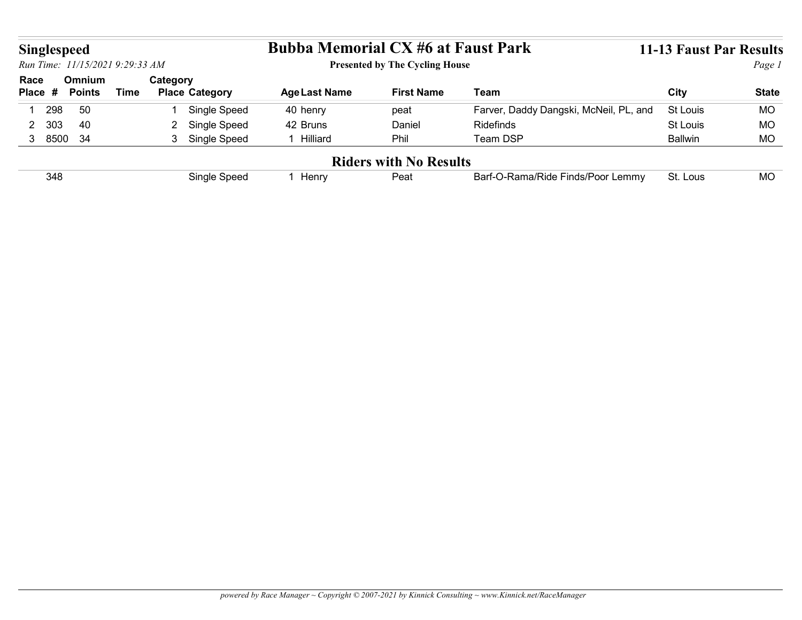| <b>Singlespeed</b> |                                 |             |                                   | <b>Bubba Memorial CX #6 at Faust Park</b> |                                       |                                        | <b>11-13 Faust Par Results</b> |              |
|--------------------|---------------------------------|-------------|-----------------------------------|-------------------------------------------|---------------------------------------|----------------------------------------|--------------------------------|--------------|
|                    | Run Time: 11/15/2021 9:29:33 AM |             |                                   |                                           | <b>Presented by The Cycling House</b> |                                        |                                | Page 1       |
| Race<br>Place #    | <b>Omnium</b><br><b>Points</b>  | <b>Time</b> | Category<br><b>Place Category</b> | <b>Age Last Name</b>                      | <b>First Name</b>                     | <b>Team</b>                            | <b>City</b>                    | <b>State</b> |
| 298                | 50                              |             | Single Speed                      | 40 henry                                  | peat                                  | Farver, Daddy Dangski, McNeil, PL, and | St Louis                       | <b>MO</b>    |
| 2 303              | 40                              |             | 2 Single Speed                    | 42 Bruns                                  | Daniel                                | Ridefinds                              | St Louis                       | <b>MO</b>    |
| 3 8500 34          |                                 |             | 3 Single Speed                    | 1 Hilliard                                | Phil                                  | Team DSP                               | <b>Ballwin</b>                 | <b>MO</b>    |
|                    |                                 |             |                                   |                                           |                                       |                                        |                                |              |
| 348                |                                 |             | Single Speed                      | 1 Henry                                   | <b>Riders with No Results</b><br>Peat | Barf-O-Rama/Ride Finds/Poor Lemmy      | St. Lous                       | <b>MO</b>    |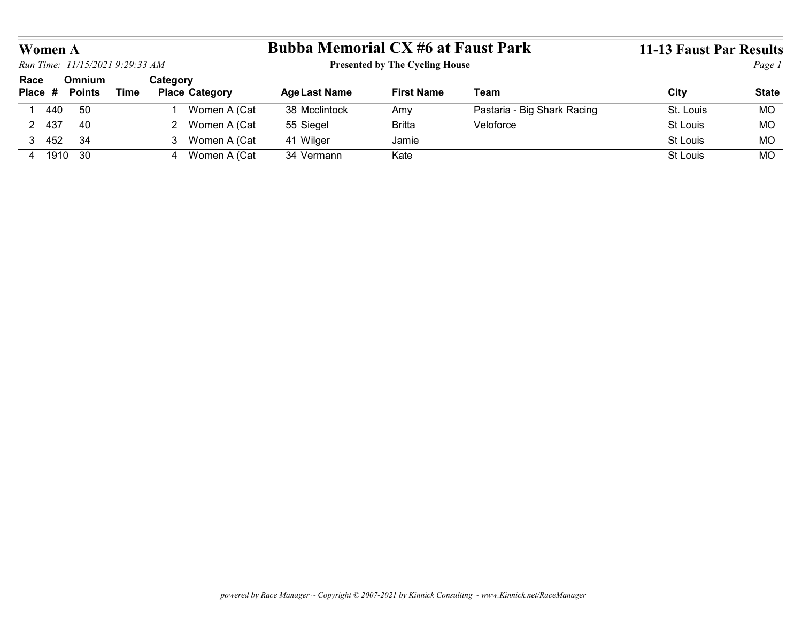|                |                                                       | <b>Bubba Memorial CX #6 at Faust Park</b> |                                       |                             |                                |              |
|----------------|-------------------------------------------------------|-------------------------------------------|---------------------------------------|-----------------------------|--------------------------------|--------------|
| <b>Women A</b> | Run Time: 11/15/2021 9:29:33 AM                       |                                           | <b>Presented by The Cycling House</b> |                             | <b>11-13 Faust Par Results</b> | Page 1       |
| Race           | Omnium<br>Category                                    |                                           |                                       |                             |                                |              |
| Place #        | <b>Place Category</b><br><b>Points</b><br><b>Time</b> | <b>Age Last Name</b>                      | <b>First Name</b>                     | <b>Team</b>                 | <b>City</b>                    | <b>State</b> |
| 1 440          | 50<br>Women A (Cat<br>1                               | 38 Mcclintock                             | Amy                                   | Pastaria - Big Shark Racing | St. Louis                      | <b>MO</b>    |
| 2 437          | 40<br>2 Women A (Cat                                  | 55 Siegel                                 | <b>Britta</b>                         | Veloforce                   | St Louis                       | MO           |
| 3 452          | 34<br>3 Women A (Cat                                  | 41 Wilger                                 | Jamie                                 |                             | St Louis                       | <b>MO</b>    |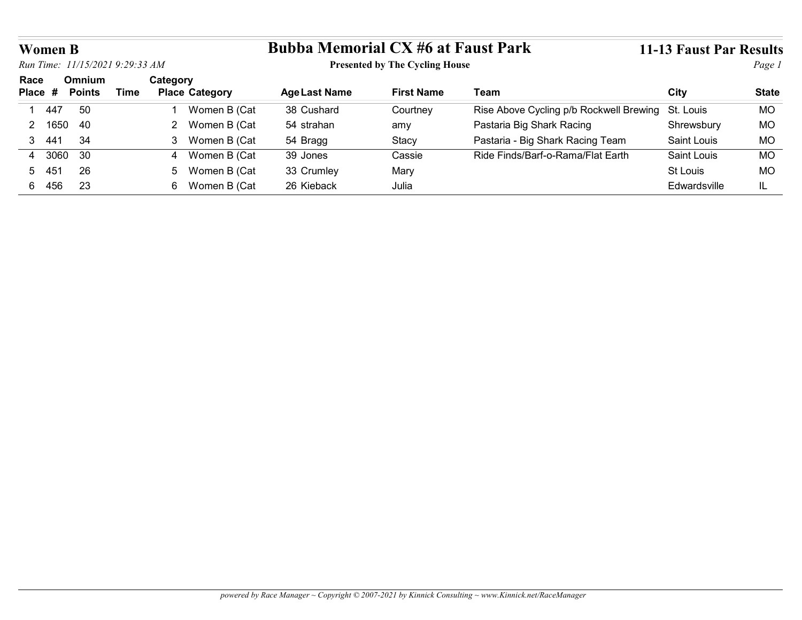| <b>Women B</b>         |                                                                          |                                                  |                                           |                   |                                         | <b>11-13 Faust Par Results</b> |              |  |
|------------------------|--------------------------------------------------------------------------|--------------------------------------------------|-------------------------------------------|-------------------|-----------------------------------------|--------------------------------|--------------|--|
|                        |                                                                          |                                                  |                                           |                   |                                         |                                |              |  |
|                        | Run Time: 11/15/2021 9:29:33 AM<br><b>Presented by The Cycling House</b> |                                                  |                                           |                   |                                         |                                |              |  |
|                        |                                                                          |                                                  | <b>Bubba Memorial CX #6 at Faust Park</b> |                   |                                         |                                | Page 1       |  |
| Race<br>Place #        | Omnium<br><b>Points</b>                                                  | Category<br><b>Time</b><br><b>Place Category</b> | <b>Age Last Name</b>                      | <b>First Name</b> | Team                                    | City                           | <b>State</b> |  |
| 447                    | 50                                                                       | Women B (Cat                                     | 38 Cushard                                | Courtney          | Rise Above Cycling p/b Rockwell Brewing | St. Louis                      | <b>MO</b>    |  |
| 2 1650                 | 40                                                                       | 2 Women B (Cat                                   | 54 strahan                                | amy               | Pastaria Big Shark Racing               | Shrewsbury                     | <b>MO</b>    |  |
| $3 \t 44'$             | 34                                                                       | 3 Women B (Cat                                   | 54 Bragg                                  | Stacy             | Pastaria - Big Shark Racing Team        | Saint Louis                    | <b>MO</b>    |  |
| 3060<br>$\overline{4}$ | 30                                                                       | 4 Women B (Cat                                   | 39 Jones                                  | Cassie            | Ride Finds/Barf-o-Rama/Flat Earth       | Saint Louis                    | <b>MO</b>    |  |
| 5.<br>-45              | 26                                                                       | 5 Women B (Cat                                   | 33 Crumley                                | Mary              |                                         | St Louis                       | <b>MO</b>    |  |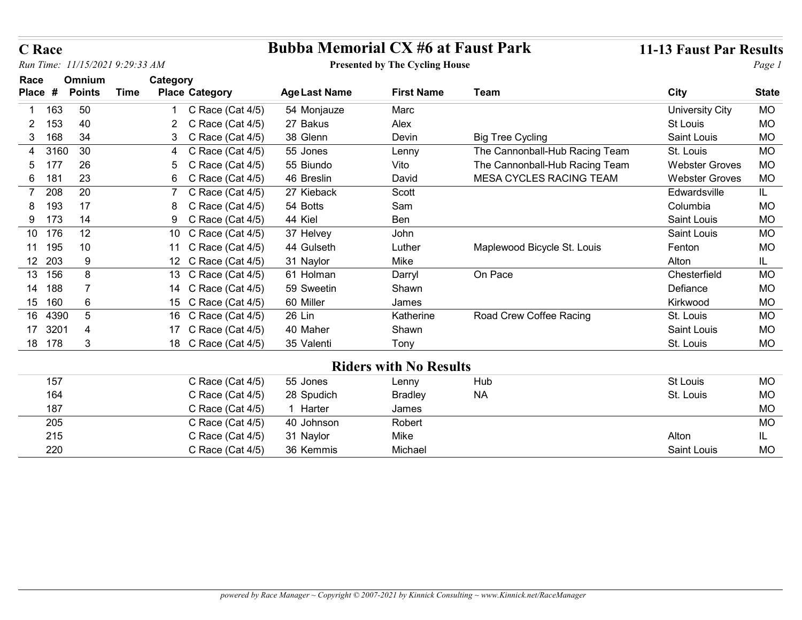| C Race (Cat 4/5) | 1 Harter   | James   |       |
|------------------|------------|---------|-------|
| C Race (Cat 4/5) | 40 Johnson | Robert  |       |
| C Race (Cat 4/5) | 31 Naylor  | Mike    | Altor |
| C Race (Cat 4/5) | 36 Kemmis  | Michael | Sain  |
|                  |            |         |       |
|                  |            |         |       |
|                  |            |         |       |
|                  |            |         |       |
|                  |            |         |       |
|                  |            |         |       |
|                  |            |         |       |

**EXECUTE:**<br>
2 11-13 Faust Par Results<br>
2 11-13 Faust Par Results<br>
2 11-13 Faust Par Results<br>
2 163 50<br>
2 C Race (Cat 4/5) 54 Monjauze Marc<br>
2 163 40<br>
2 C Race (Cat 4/5) 38 Glenn Devin Big Tree Cycling<br>
2 169 34<br>
3 168 34<br> **EXECUTE SAINT CONSULARE SERVIDE SAINT CONSULTS:**<br>
3 34 168 34 3 C Race (Cat 4/5) 35 Oleman<br>
3 34 3 C Race (Cat 4/5) 38 Glenn Devin Big Tree Cycling Saint Louis MO<br>
4 3160 30 4 C Race (Cat 4/5) 38 Glenn Devin Big Tree Cyc **EXECUTE ACCOMOVER ACCOMOVER CONDUCT ACCOMOVER ACCOMOVER ACCOMOVER ACCOMOVER ACCOMOVER ACCOMOVER ACCOMOVER ACCONOVER ACCONOVER ACCONOVER ACCONOVER ACCONOVER ACCONOVER ACCONOVER ACCONOVER ACCONOVER ACCONOVER ACCONOVER ACCO France Bubba Memorial CX #6 at Faust Park** 11-13 Faust Par Results<br>
Freented by The Cycling House<br> **Exact Are Category** AgeLast Name First Name Team City State<br>
1 65 50 1 C Race (Cat 4/5) 3 A Monjauze Marc<br>
2 SRace (Ca **Race**<br> **Frame:**  $1/1/320219:29:33 AM$ <br> **Example 121 Bresling Mess**<br> **Example 23** 5 29<br> **Example 24 CRace (Cat 4/5) 5 2 Bresling Mess**<br> **Example 24 CRace (Cat 4/5)**<br> **Example 24 CRace (Cat 4/5)**<br> **Example 24 CRACe (Cat 4/5) EXECUTE:**<br>
The: 1773/0219:29:33.4M<br> **EXECUTE:** The Place of Points<br> **EXECUTE:** The Presented by The Cycling House<br> **EXECUTE:** The Category<br>
2 C Race (Cat 4/5) and place are points<br>
2 C Race (Cat 4/5) 28 Glenn<br>
2 G Race ( **Race**<br> **Bubba Memorial CX #6 at Faust Park**<br> **Bubba Memorial CX #6 at Faust Park**<br> **Presented by The Cycling House**<br> **Presented by The Cycling House**<br> **Presented by The Cycling House**<br> **Example 1**<br> **Example 1**<br> **Example Race**<br> **Subba Memorial CX #6 at Faust Park**<br>  $m^{\text{Time: } I/I/57/0219:29:33.4M}$ <br> **Subba Memorial CX #6 at Faust Park**<br>  $P_{\text{reg}}$ <br> **Subba Memorial CX #6 at Faust Park**<br>  $P_{\text{reg}}$ <br> **Subba Memorial CX #6 at Faust Park**<br>  $P_{\text{reg$ **Exame Bubba Memorial CX #6 at Faust Park 11-13 Faust Park 11-13 Faust Park 11-13 Faust Park 11-13 Faust Park 11-13 Faust Park 11-13 Faust Park 11-13 Faust Park 11-13 Faust Park 11-13 Faust Park 11-13 Faust Park 11-13 Fau** 11 10 195 Gulseth Luther Maplewood Bicycle St. Louis Fenton MO 11 44 C Race (Cat 4/5) 1 Race  $1/13/20/379.2933/M$ <br>
2010 19:29:33 AM Bubba Memorial CX #6 of Faust Park<br>
acce Omnium Category<br>
acce Are Consider the Cycling House<br>
acce Are Consider the Category<br>
2 C Race (Cat 4/5) and the Cycling House<br>
2 C Rac **Pace**<br>
13 *In the Chinaryl One Category*<br>
16 *Interior* Chinaryl Darry (2013 19:29:37 *JM*<br>
26 **Ominium** Category<br>
26 **C** Rece Category<br>
156 5 *C* Rece (Cat 4/5) 24 Morejauze<br>
156 6<br>
16 Box Category Age Last Name<br>
1763 **Pace (2013-2021)**<br>
14 7 *mec. 11/15/2021* 9:29:33 *AM*<br> **Exception Category**<br> **Age duration Crist America International CX #6 at Faust Park III-13 Faust Park Results<br>
168 Some Category<br>
168 Some Category<br>
168 Some Catego** The Christian Context of the College of Miller Magnitral CX #6 at Faust Park (11.13 Faust Park Results and Context of Free College of Points and Christian Context of Category Age Last Mondum First Name Team College of Poi 16 5 4390 Lin Katherine Road Crew Coffee Racing St. Louis MO 16 26 C Race (Cat 4/5) 17 4 3 C Reception 4 4 S C Reception 4 4 C Research (Cat 4/5) 27 G Research 2014<br>18 4 3 C Reception 2018 - 2 C Reception 2018 - 2 C Reception 2018<br>19 4 3 C Reception 2018 - 2 C Reception 2018<br>19 4 3 C Reception 2019<br>19 4 and Communimation Category Age Last Name First Name Team Crist<br>
18 3 178 3 178 (Cat 4/5) 54 Moniguze Marc (Cat 4/5) 27 Bakus<br>
18 3 C Roce (Cat 4/5) 37 Bakus<br>
18 3 C Roce (Cat 4/5) 35 G/cen<br>
18 3 C Roce (Cat 4/5) 55 G/cen<br> Riders with No Results 157 Jones Lenny Hub St Louis MO C Race (Cat 4/5) 55 168 S4 SCRee (Cat 4/5) 36 Suemin Devin<br>
164 Scree (Cat 4/5) S5 Jones Lemmy The Cannonball-Hub Racing Team St. Louis MO<br>
177 28 Sc Race (Cat 4/5) 56 Bundo Vito The Cannonball-Hub Racing Team Webster Grows MO<br>
179 28 G Race 3160 30 4 G Race (Cat 4/5) 55 Jones Lenny The Cannonball-Hub Racing Team SL Louis MO<br>177 26 5 G Race (Cat 4/5) 46 B nesin<br>
187 23 6 C Race (Cat 4/5) 46 B nesin<br>
187 20 7 G Race (Cat 4/5) 44 Hold<br>
198 17 8 C Race (Cat 4/5) 177 26 CReve (Cat 4/5) 55 Disnion Barry (No The Cannon-Dall-Hub Racing Team Webster Groves MO<br>
2019 20 7 C Race (Cat 4/5) 27 Keback Scott<br>
2020 20 7 C Race (Cat 4/5) 27 G Race (Cat 4/5) 44 Kels<br>
2020 20 11 G Race (Cat 4/5 1816 23 6 CRace (Cat 4/5) 46 Breslin David MicRA CYCLES RACING TEAM Webster Crowes Move<br>
1939 17 CRace (Cat 4/5) 54 Robers Scott<br>
1939 17 8 CRace (Cat 4/5) 44 Rober<br>
1939 19 CRace (Cat 4/5) 44 Rober<br>
1939 19 10 CRace (Cat 200 20 1 7 G Roec (Cat 4/5) 27 Kiehoak Soott - Soott - Soott - Soott - Soott - Saint Louis MO<br>
193 17 8 C Race (Cat 4/5) 44 Gulseth Luther Maplewood Bicycle St. Louis - Saint Louis MO<br>
195 10 10 C Race (Cat 4/5) 44 Gulseth

## Presented by The Cycling House

Time Place Category Age Last Name First Name

Race Omnium Category **Race Communist Category**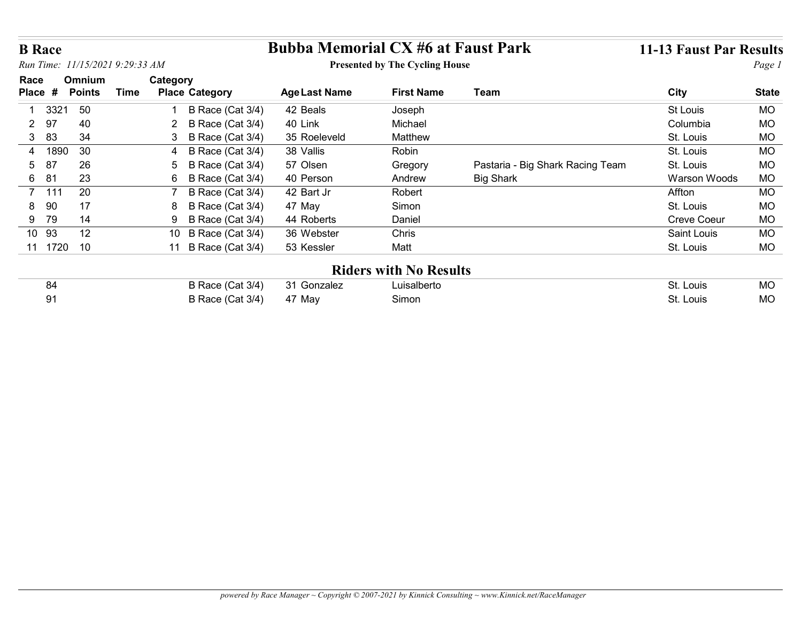| <b>B</b> Race        |               |                                      | <b>Bubba Memorial CX #6 at Faust Park</b> |                                       |                                  | <b>11-13 Faust Par Results</b> |                        |
|----------------------|---------------|--------------------------------------|-------------------------------------------|---------------------------------------|----------------------------------|--------------------------------|------------------------|
|                      |               | Run Time: 11/15/2021 9:29:33 AM      |                                           | <b>Presented by The Cycling House</b> |                                  |                                | Page 1                 |
| Race                 | <b>Omnium</b> | Category                             |                                           |                                       |                                  |                                |                        |
| Place #              | <b>Points</b> | <b>Time</b><br><b>Place Category</b> | <b>Age Last Name</b>                      | <b>First Name</b>                     | Team                             | <b>City</b>                    | <b>State</b>           |
| -1                   | 50<br>3321    | B Race (Cat 3/4)                     | 42 Beals                                  | Joseph                                |                                  | St Louis                       | <b>MO</b>              |
| 97<br>$\overline{2}$ | 40            | B Race (Cat 3/4)<br>2                | 40 Link                                   | Michael                               |                                  | Columbia                       | MO                     |
|                      |               |                                      |                                           |                                       |                                  |                                |                        |
| 83<br>3 <sup>1</sup> | 34            | B Race (Cat 3/4)<br>3                | 35 Roeleveld                              | Matthew                               |                                  | St. Louis                      | <b>MO</b>              |
| 4                    | 1890<br>30    | B Race (Cat 3/4)<br>4                | 38 Vallis                                 | Robin                                 |                                  | St. Louis                      | <b>MO</b>              |
| 87<br>5              | 26            | B Race (Cat 3/4)<br>5                | 57 Olsen                                  | Gregory                               | Pastaria - Big Shark Racing Team | St. Louis                      | <b>MO</b>              |
| 6 81                 | 23            | B Race (Cat 3/4)<br>6                | 40 Person                                 | Andrew                                | <b>Big Shark</b>                 | Warson Woods                   | <b>MO</b>              |
| 7 111                | 20            | B Race (Cat 3/4)                     | 42 Bart Jr                                | Robert                                |                                  | Affton                         | <b>MO</b>              |
| 8 90                 | 17            | B Race (Cat 3/4)<br>8                | 47 May                                    | Simon                                 |                                  | St. Louis                      | <b>MO</b>              |
| 9 79                 | 14            | B Race (Cat 3/4)<br>9                | 44 Roberts                                | Daniel                                |                                  | Creve Coeur                    | <b>MO</b>              |
| 10 93                | 12            | 10 B Race (Cat 3/4)                  | 36 Webster                                | Chris                                 |                                  | Saint Louis                    | <b>MO</b>              |
|                      | 11 1720 10    | 11 B Race (Cat 3/4)                  | 53 Kessler                                | Matt                                  |                                  | St. Louis                      | <b>MO</b>              |
|                      |               |                                      |                                           | <b>Riders with No Results</b>         |                                  |                                |                        |
| 84<br>91             |               | B Race (Cat 3/4)<br>B Race (Cat 3/4) | 31 Gonzalez<br>47 May                     | Luisalberto<br>Simon                  |                                  | St. Louis<br>St. Louis         | <b>MO</b><br><b>MO</b> |

| -84 | B Race (Cat 3/4) 31 Gonzalez | ∟uisalberto | St. Louis | <b>MO</b> |
|-----|------------------------------|-------------|-----------|-----------|
| 91  | B Race (Cat 3/4) 47 May      | Simon       | St. Louis | <b>MO</b> |